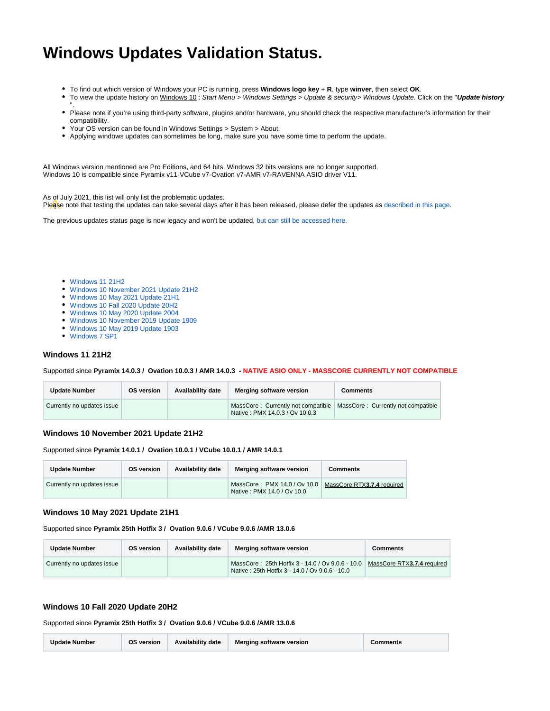# **Windows Updates Validation Status.**

- To find out which version of Windows your PC is running, press **Windows logo key** + **R**, type **winver**, then select **OK**.
- $\bullet$ To view the update history on Windows 10 : Start Menu > Windows Settings > Update & security> Windows Update. Click on the "**Update history** ".
- Please note if you're using third-party software, plugins and/or hardware, you should check the respective manufacturer's information for their compatibility.
- Your OS version can be found in Windows Settings > System > About.
- Applying windows updates can sometimes be long, make sure you have some time to perform the update.

All Windows version mentioned are Pro Editions, and 64 bits, Windows 32 bits versions are no longer supported. Windows 10 is compatible since Pyramix v11-VCube v7-Ovation v7-AMR v7-RAVENNA ASIO driver V11.

As of July 2021, this list will only list the problematic updates.

Please note that testing the updates can take several days after it has been released, please defer the updates as [described in this page.](https://confluence.merging.com/display/PUBLICDOC/Windows+10+Defer+Updates)

The previous updates status page is now legacy and won't be updated, [but can still be accessed here.](https://confluence.merging.com/pages/viewpage.action?pageId=89915457)

- [Windows 11 21H2](#page-0-0)
- [Windows 10 November 2021 Update 21H2](#page-0-1)
- [Windows 10 May 2021 Update 21H1](#page-0-2)
- [Windows 10 Fall 2020 Update 20H2](#page-0-3)
- [Windows 10 May 2020 Update 2004](#page-1-0)
- [Windows 10 November 2019 Update 1909](#page-1-1)
- [Windows 10 May 2019 Update 1903](#page-1-2)
- [Windows 7 SP1](#page-1-3)

#### <span id="page-0-0"></span>**Windows 11 21H2**

#### Supported since **Pyramix 14.0.3 / Ovation 10.0.3 / AMR 14.0.3 - NATIVE ASIO ONLY - MASSCORE CURRENTLY NOT COMPATIBLE**

| <b>Update Number</b>       | <b>OS version</b> | Availability date | Merging software version                                                                                  | Comments |
|----------------------------|-------------------|-------------------|-----------------------------------------------------------------------------------------------------------|----------|
| Currently no updates issue |                   |                   | MassCore: Currently not compatible   MassCore: Currently not compatible<br>Native: PMX 14.0.3 / Ov 10.0.3 |          |

#### <span id="page-0-1"></span>**Windows 10 November 2021 Update 21H2**

Supported since **Pyramix 14.0.1 / Ovation 10.0.1 / VCube 10.0.1 / AMR 14.0.1**

| <b>Update Number</b>       | <b>OS version</b> | <b>Availability date</b> | Merging software version                                                                | <b>Comments</b> |
|----------------------------|-------------------|--------------------------|-----------------------------------------------------------------------------------------|-----------------|
| Currently no updates issue |                   |                          | MassCore: PMX 14.0 / Ov 10.0   MassCore RTX3.7.4 required<br>Native: PMX 14.0 / Ov 10.0 |                 |

#### <span id="page-0-2"></span>**Windows 10 May 2021 Update 21H1**

Supported since **Pyramix 25th Hotfix 3 / Ovation 9.0.6 / VCube 9.0.6 /AMR 13.0.6**

| <b>Update Number</b>       | <b>OS version</b> | Availability date | Merging software version                                                                           | Comments                   |
|----------------------------|-------------------|-------------------|----------------------------------------------------------------------------------------------------|----------------------------|
| Currently no updates issue |                   |                   | MassCore: 25th Hotfix 3 - 14.0 / Ov 9.0.6 - 10.0<br>Native: 25th Hotfix 3 - 14.0 / Ov 9.0.6 - 10.0 | MassCore RTX3.7.4 required |

### <span id="page-0-3"></span>**Windows 10 Fall 2020 Update 20H2**

Supported since **Pyramix 25th Hotfix 3 / Ovation 9.0.6 / VCube 9.0.6 /AMR 13.0.6**

| <b>Update Number</b> | OS version | <b>Availability date</b> | <b>Merging software version</b> | <b>Comments</b> |
|----------------------|------------|--------------------------|---------------------------------|-----------------|
|----------------------|------------|--------------------------|---------------------------------|-----------------|